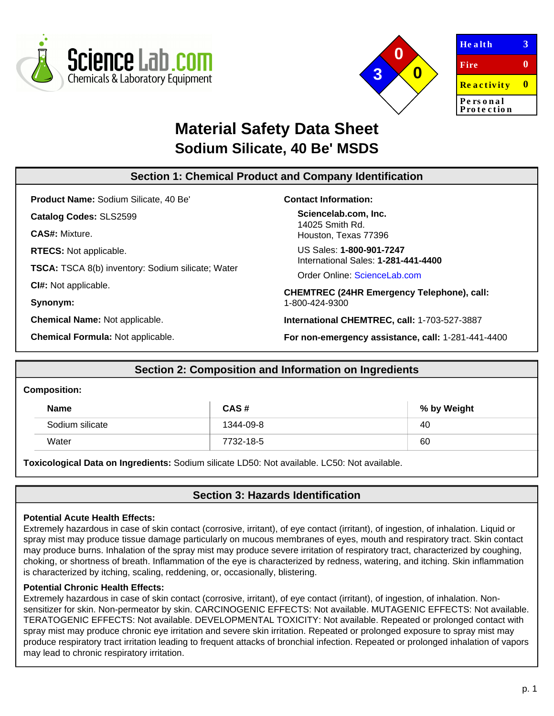



**He a lt h Fire Re a c t iv it y Pe rs o n a l** Pro te ction **3 0 0**

# **Material Safety Data Sheet Sodium Silicate, 40 Be' MSDS**

#### **Section 1: Chemical Product and Company Identification Product Name:** Sodium Silicate, 40 Be' **Catalog Codes:** SLS2599 **CAS#:** Mixture. **RTECS:** Not applicable. **TSCA:** TSCA 8(b) inventory: Sodium silicate; Water **CI#:** Not applicable. **Synonym: Chemical Name:** Not applicable. **Chemical Formula:** Not applicable. **Contact Information: Sciencelab.com, Inc.** 14025 Smith Rd. Houston, Texas 77396 US Sales: **1-800-901-7247** International Sales: **1-281-441-4400** Order Online: [ScienceLab.com](http://www.sciencelab.com/) **CHEMTREC (24HR Emergency Telephone), call:** 1-800-424-9300 **International CHEMTREC, call:** 1-703-527-3887 **For non-emergency assistance, call:** 1-281-441-4400

# **Section 2: Composition and Information on Ingredients**

#### **Composition:**

| <b>Name</b>     | CAS#      | % by Weight |
|-----------------|-----------|-------------|
| Sodium silicate | 1344-09-8 | 40          |
| Water           | 7732-18-5 | 60          |

**Toxicological Data on Ingredients:** Sodium silicate LD50: Not available. LC50: Not available.

# **Section 3: Hazards Identification**

### **Potential Acute Health Effects:**

Extremely hazardous in case of skin contact (corrosive, irritant), of eye contact (irritant), of ingestion, of inhalation. Liquid or spray mist may produce tissue damage particularly on mucous membranes of eyes, mouth and respiratory tract. Skin contact may produce burns. Inhalation of the spray mist may produce severe irritation of respiratory tract, characterized by coughing, choking, or shortness of breath. Inflammation of the eye is characterized by redness, watering, and itching. Skin inflammation is characterized by itching, scaling, reddening, or, occasionally, blistering.

### **Potential Chronic Health Effects:**

Extremely hazardous in case of skin contact (corrosive, irritant), of eye contact (irritant), of ingestion, of inhalation. Nonsensitizer for skin. Non-permeator by skin. CARCINOGENIC EFFECTS: Not available. MUTAGENIC EFFECTS: Not available. TERATOGENIC EFFECTS: Not available. DEVELOPMENTAL TOXICITY: Not available. Repeated or prolonged contact with spray mist may produce chronic eye irritation and severe skin irritation. Repeated or prolonged exposure to spray mist may produce respiratory tract irritation leading to frequent attacks of bronchial infection. Repeated or prolonged inhalation of vapors may lead to chronic respiratory irritation.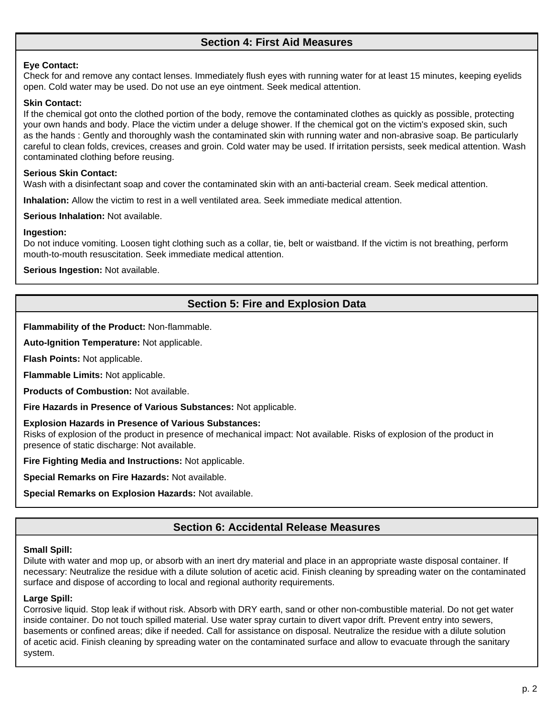# **Section 4: First Aid Measures**

#### **Eye Contact:**

Check for and remove any contact lenses. Immediately flush eyes with running water for at least 15 minutes, keeping eyelids open. Cold water may be used. Do not use an eye ointment. Seek medical attention.

#### **Skin Contact:**

If the chemical got onto the clothed portion of the body, remove the contaminated clothes as quickly as possible, protecting your own hands and body. Place the victim under a deluge shower. If the chemical got on the victim's exposed skin, such as the hands : Gently and thoroughly wash the contaminated skin with running water and non-abrasive soap. Be particularly careful to clean folds, crevices, creases and groin. Cold water may be used. If irritation persists, seek medical attention. Wash contaminated clothing before reusing.

#### **Serious Skin Contact:**

Wash with a disinfectant soap and cover the contaminated skin with an anti-bacterial cream. Seek medical attention.

**Inhalation:** Allow the victim to rest in a well ventilated area. Seek immediate medical attention.

**Serious Inhalation:** Not available.

#### **Ingestion:**

Do not induce vomiting. Loosen tight clothing such as a collar, tie, belt or waistband. If the victim is not breathing, perform mouth-to-mouth resuscitation. Seek immediate medical attention.

**Serious Ingestion:** Not available.

# **Section 5: Fire and Explosion Data**

**Flammability of the Product:** Non-flammable.

**Auto-Ignition Temperature:** Not applicable.

**Flash Points:** Not applicable.

**Flammable Limits:** Not applicable.

**Products of Combustion:** Not available.

**Fire Hazards in Presence of Various Substances:** Not applicable.

#### **Explosion Hazards in Presence of Various Substances:**

Risks of explosion of the product in presence of mechanical impact: Not available. Risks of explosion of the product in presence of static discharge: Not available.

**Fire Fighting Media and Instructions:** Not applicable.

**Special Remarks on Fire Hazards:** Not available.

**Special Remarks on Explosion Hazards:** Not available.

# **Section 6: Accidental Release Measures**

# **Small Spill:**

Dilute with water and mop up, or absorb with an inert dry material and place in an appropriate waste disposal container. If necessary: Neutralize the residue with a dilute solution of acetic acid. Finish cleaning by spreading water on the contaminated surface and dispose of according to local and regional authority requirements.

#### **Large Spill:**

Corrosive liquid. Stop leak if without risk. Absorb with DRY earth, sand or other non-combustible material. Do not get water inside container. Do not touch spilled material. Use water spray curtain to divert vapor drift. Prevent entry into sewers, basements or confined areas; dike if needed. Call for assistance on disposal. Neutralize the residue with a dilute solution of acetic acid. Finish cleaning by spreading water on the contaminated surface and allow to evacuate through the sanitary system.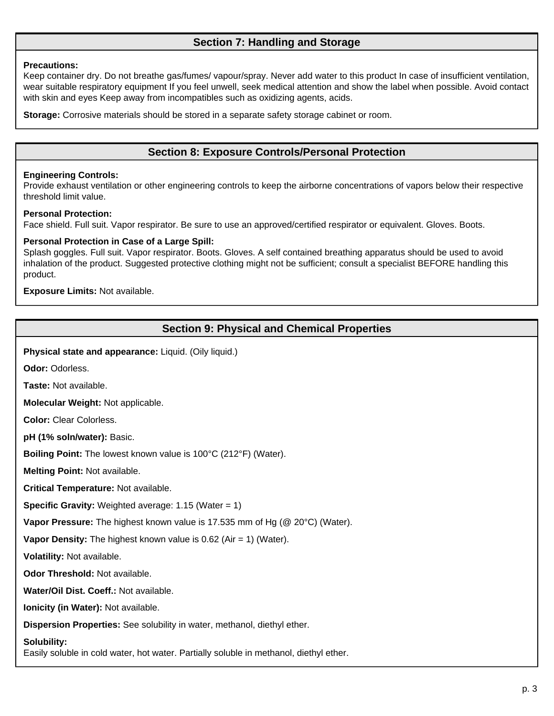# **Section 7: Handling and Storage**

#### **Precautions:**

Keep container dry. Do not breathe gas/fumes/ vapour/spray. Never add water to this product In case of insufficient ventilation, wear suitable respiratory equipment If you feel unwell, seek medical attention and show the label when possible. Avoid contact with skin and eyes Keep away from incompatibles such as oxidizing agents, acids.

**Storage:** Corrosive materials should be stored in a separate safety storage cabinet or room.

# **Section 8: Exposure Controls/Personal Protection**

#### **Engineering Controls:**

Provide exhaust ventilation or other engineering controls to keep the airborne concentrations of vapors below their respective threshold limit value.

#### **Personal Protection:**

Face shield. Full suit. Vapor respirator. Be sure to use an approved/certified respirator or equivalent. Gloves. Boots.

#### **Personal Protection in Case of a Large Spill:**

Splash goggles. Full suit. Vapor respirator. Boots. Gloves. A self contained breathing apparatus should be used to avoid inhalation of the product. Suggested protective clothing might not be sufficient; consult a specialist BEFORE handling this product.

**Exposure Limits:** Not available.

### **Section 9: Physical and Chemical Properties**

**Physical state and appearance:** Liquid. (Oily liquid.)

**Odor:** Odorless.

**Taste:** Not available.

**Molecular Weight:** Not applicable.

**Color:** Clear Colorless.

**pH (1% soln/water):** Basic.

**Boiling Point:** The lowest known value is 100°C (212°F) (Water).

**Melting Point:** Not available.

**Critical Temperature:** Not available.

**Specific Gravity:** Weighted average: 1.15 (Water = 1)

**Vapor Pressure:** The highest known value is 17.535 mm of Hg (@ 20°C) (Water).

**Vapor Density:** The highest known value is 0.62 (Air = 1) (Water).

**Volatility:** Not available.

**Odor Threshold:** Not available.

**Water/Oil Dist. Coeff.:** Not available.

**Ionicity (in Water):** Not available.

**Dispersion Properties:** See solubility in water, methanol, diethyl ether.

#### **Solubility:**

Easily soluble in cold water, hot water. Partially soluble in methanol, diethyl ether.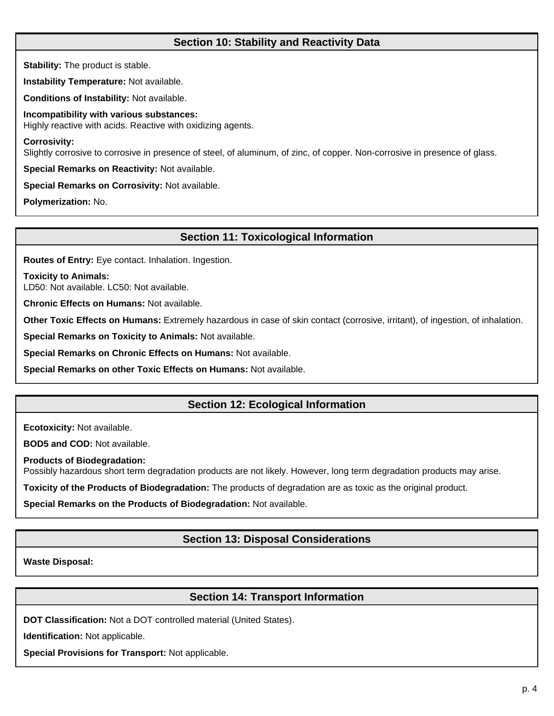# **Section 10: Stability and Reactivity Data**

**Stability:** The product is stable.

**Instability Temperature:** Not available.

**Conditions of Instability:** Not available.

**Incompatibility with various substances:** Highly reactive with acids. Reactive with oxidizing agents.

**Corrosivity:**

Slightly corrosive to corrosive in presence of steel, of aluminum, of zinc, of copper. Non-corrosive in presence of glass.

**Special Remarks on Reactivity:** Not available.

**Special Remarks on Corrosivity:** Not available.

**Polymerization:** No.

# **Section 11: Toxicological Information**

**Routes of Entry:** Eye contact. Inhalation. Ingestion.

**Toxicity to Animals:**

LD50: Not available. LC50: Not available.

**Chronic Effects on Humans:** Not available.

**Other Toxic Effects on Humans:** Extremely hazardous in case of skin contact (corrosive, irritant), of ingestion, of inhalation.

**Special Remarks on Toxicity to Animals:** Not available.

**Special Remarks on Chronic Effects on Humans:** Not available.

**Special Remarks on other Toxic Effects on Humans:** Not available.

# **Section 12: Ecological Information**

**Ecotoxicity:** Not available.

**BOD5 and COD:** Not available.

**Products of Biodegradation:**

Possibly hazardous short term degradation products are not likely. However, long term degradation products may arise.

**Toxicity of the Products of Biodegradation:** The products of degradation are as toxic as the original product.

**Special Remarks on the Products of Biodegradation:** Not available.

# **Section 13: Disposal Considerations**

**Waste Disposal:**

# **Section 14: Transport Information**

**DOT Classification:** Not a DOT controlled material (United States).

**Identification:** Not applicable.

**Special Provisions for Transport:** Not applicable.